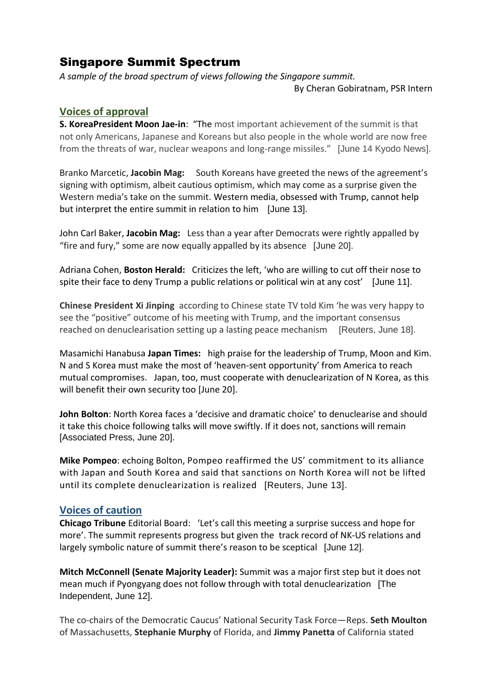## Singapore Summit Spectrum

*A sample of the broad spectrum of views following the Singapore summit.*

By Cheran Gobiratnam, PSR Intern

## **Voices of approval**

**S. KoreaPresident Moon Jae-in**: "The most important achievement of the summit is that not only Americans, Japanese and Koreans but also people in the whole world are now free from the threats of war, nuclear weapons and long-range missiles." [June 14 Kyodo News].

Branko Marcetic, **Jacobin Mag:** South Koreans have greeted the news of the agreement's signing with optimism, albeit cautious optimism, which may come as a surprise given the Western media's take on the summit. Western media, obsessed with Trump, cannot help but interpret the entire summit in relation to him [June 13].

John Carl Baker, **Jacobin Mag:** Less than a year after Democrats were rightly appalled by "fire and fury," some are now equally appalled by its absence [June 20].

Adriana Cohen, **Boston Herald:** Criticizes the left, 'who are willing to cut off their nose to spite their face to deny Trump a public relations or political win at any cost' [June 11].

**Chinese President Xi Jinping** according to Chinese state TV told Kim 'he was very happy to see the "positive" outcome of his meeting with Trump, and the important consensus reached on denuclearisation setting up a lasting peace mechanism [Reuters, June 18].

Masamichi Hanabusa **Japan Times:** high praise for the leadership of Trump, Moon and Kim. N and S Korea must make the most of 'heaven-sent opportunity' from America to reach mutual compromises. Japan, too, must cooperate with denuclearization of N Korea, as this will benefit their own security too [June 20].

**John Bolton**: North Korea faces a 'decisive and dramatic choice' to denuclearise and should it take this choice following talks will move swiftly. If it does not, sanctions will remain [Associated Press, June 20].

**Mike Pompeo**: echoing Bolton, Pompeo reaffirmed the US' commitment to its alliance with Japan and South Korea and said that sanctions on North Korea will not be lifted until its complete denuclearization is realized [Reuters, June 13].

## **Voices of caution**

**Chicago Tribune** Editorial Board: 'Let's call this meeting a surprise success and hope for more'. The summit represents progress but given the track record of NK-US relations and largely symbolic nature of summit there's reason to be sceptical [June 12].

**Mitch McConnell (Senate Majority Leader):** Summit was a major first step but it does not mean much if Pyongyang does not follow through with total denuclearization [The Independent, June 12].

The co-chairs of the Democratic Caucus' National Security Task Force—Reps. **Seth Moulton**  of Massachusetts, **Stephanie Murphy** of Florida, and **Jimmy Panetta** of California stated